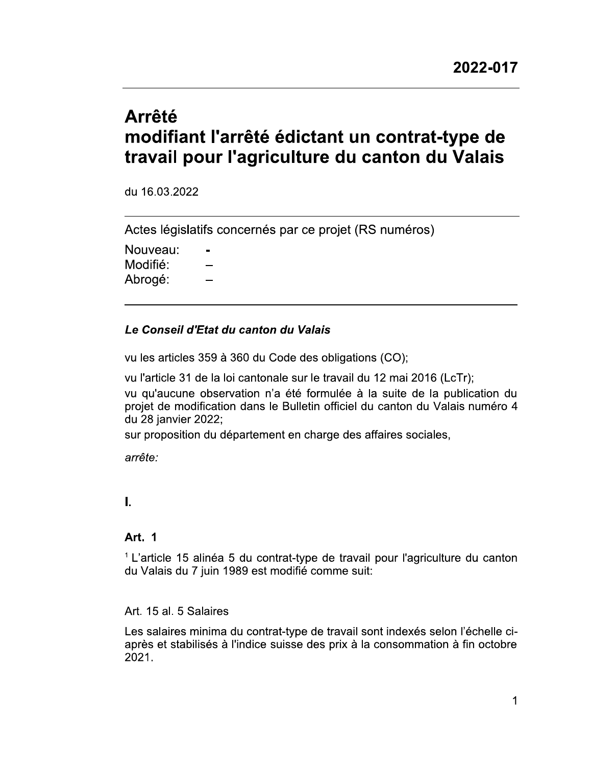# **Arrêté** modifiant l'arrêté édictant un contrat-type de travail pour l'agriculture du canton du Valais

du 16.03.2022

Actes législatifs concernés par ce projet (RS numéros)

Nouveau: Modifié: Abrogé:

#### Le Conseil d'Etat du canton du Valais

vu les articles 359 à 360 du Code des obligations (CO);

vu l'article 31 de la loi cantonale sur le travail du 12 mai 2016 (LcTr);

vu qu'aucune observation n'a été formulée à la suite de la publication du projet de modification dans le Bulletin officiel du canton du Valais numéro 4 du 28 janvier 2022;

sur proposition du département en charge des affaires sociales,

arrête:

L.

#### Art. 1

<sup>1</sup> L'article 15 alinéa 5 du contrat-type de travail pour l'agriculture du canton du Valais du 7 juin 1989 est modifié comme suit:

#### Art. 15 al. 5 Salaires

Les salaires minima du contrat-type de travail sont indexés selon l'échelle ciaprès et stabilisés à l'indice suisse des prix à la consommation à fin octobre 2021.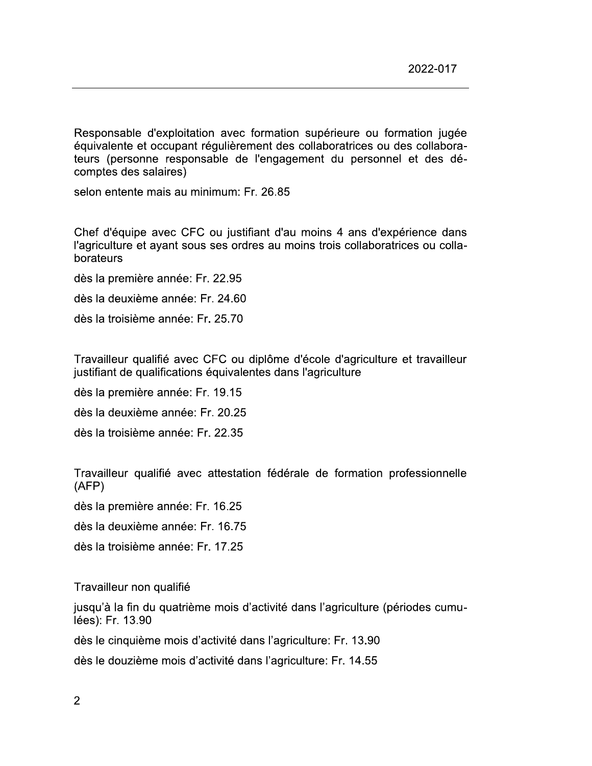Responsable d'exploitation avec formation supérieure ou formation jugée équivalente et occupant régulièrement des collaboratrices ou des collaborateurs (personne responsable de l'engagement du personnel et des décomptes des salaires)

selon entente mais au minimum: Fr. 26.85

Chef d'équipe avec CFC ou justifiant d'au moins 4 ans d'expérience dans l'agriculture et ayant sous ses ordres au moins trois collaboratrices ou collaborateurs

dès la première année: Fr. 22.95

dès la deuxième année: Fr. 24.60

dès la troisième année: Fr. 25.70

Travailleur qualifié avec CFC ou diplôme d'école d'agriculture et travailleur justifiant de qualifications équivalentes dans l'agriculture

dès la première année: Fr. 19.15

dès la deuxième année: Fr. 20.25

dès la troisième année: Fr. 22.35

Travailleur qualifié avec attestation fédérale de formation professionnelle  $(AFP)$ 

dès la première année: Fr. 16.25

dès la deuxième année: Fr. 16.75

dès la troisième année: Fr. 17.25

Travailleur non qualifié

jusqu'à la fin du quatrième mois d'activité dans l'agriculture (périodes cumulées): Fr. 13.90

dès le cinquième mois d'activité dans l'agriculture: Fr. 13.90

dès le douzième mois d'activité dans l'agriculture: Fr. 14.55